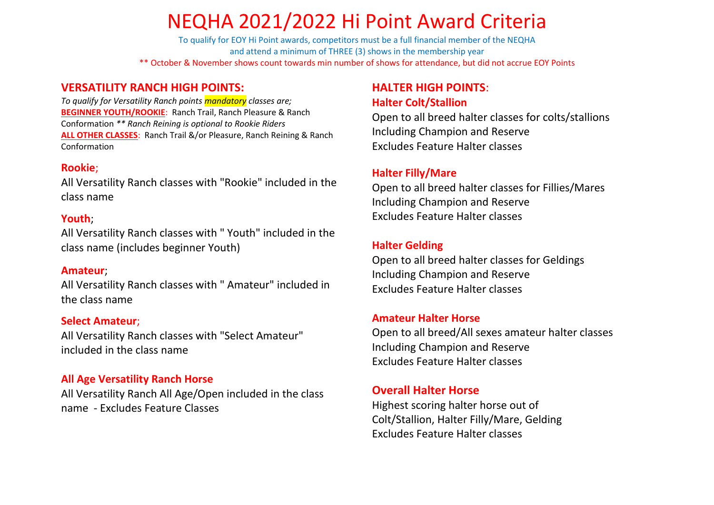# NEQHA 2021/2022 Hi Point Award Criteria

To qualify for EOY Hi Point awards, competitors must be a full financial member of the NEQHA and attend a minimum of THREE (3) shows in the membership year \*\* October & November shows count towards min number of shows for attendance, but did not accrue EOY Points

## **VERSATILITY RANCH HIGH POINTS:**

*To qualify for Versatility Ranch points mandatory classes are;* **BEGINNER YOUTH/ROOKIE**: Ranch Trail, Ranch Pleasure & Ranch Conformation *\*\* Ranch Reining is optional to Rookie Riders* **ALL OTHER CLASSES**: Ranch Trail &/or Pleasure, Ranch Reining & Ranch Conformation

### **Rookie**;

All Versatility Ranch classes with "Rookie" included in the class name

### **Youth**;

All Versatility Ranch classes with " Youth" included in the class name (includes beginner Youth)

### **Amateur**;

All Versatility Ranch classes with " Amateur" included in the class name

### **Select Amateur**;

All Versatility Ranch classes with "Select Amateur" included in the class name

## **All Age Versatility Ranch Horse**

All Versatility Ranch All Age/Open included in the class name - Excludes Feature Classes

## **HALTER HIGH POINTS**: **Halter Colt/Stallion**

Open to all breed halter classes for colts/stallions Including Champion and Reserve Excludes Feature Halter classes

## **Halter Filly/Mare**

Open to all breed halter classes for Fillies/Mares Including Champion and Reserve Excludes Feature Halter classes

## **Halter Gelding**

Open to all breed halter classes for Geldings Including Champion and Reserve Excludes Feature Halter classes

## **Amateur Halter Horse**

Open to all breed/All sexes amateur halter classes Including Champion and Reserve Excludes Feature Halter classes

## **Overall Halter Horse**

Highest scoring halter horse out of Colt/Stallion, Halter Filly/Mare, Gelding Excludes Feature Halter classes